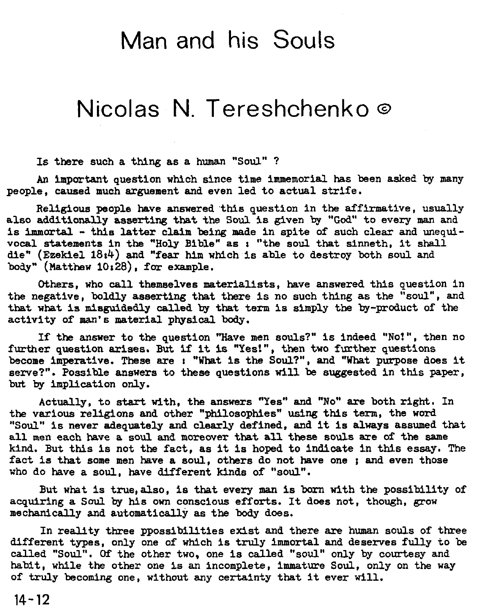## Man and his Souls

## Nicolas N. Tereshchenko **o**

Is there such a thing as a human "Soul" ?

An important question which since time immemarial has been asked by many people, caused much arguement and even led to actual strife.

Religious people have answered'this question in the affirmative, usually also additionally asserting that the Soul is given by **"God"** to every man and is **immmtal** - this latter claim being made in spite of such clear and unequlvocal statements in the "Holy Bible" as **r** "the soul that sinneth, it shall die" (Ezekiel **1814)** and "fear him which is able to destroy both soul and body" (Matthew 10:28), for example.

Others, who call themselves materialists, have answered this question in the negative, boldly asserting that there is no such thing as the "soul", and that what is misguidedly called by that term is simply the by-product of the activity of man's material physical **body.** 

If the answer to the question "Have men souls?" is indeed "No!", then no further question arises. **But** if It **is** "Yes!", then two further questions become imperative. These are **r** "What is the Soul?", and "What purpose does it serve?". Possible answers to these questions **will** be suggested in this paper, **but** by implication only.

Actually, to start with, the answers "Yes" and "No" are both right. In the various religions and other "philosophies" using this term, the word "Soul" is never adequately and clearly defined, **and** it is always assumed that all men each have a soul and moreover that all these souls are of the same kind. But this is not the fact, as it is hoped to indicate in this essay. The fact is that some men have a soul, others do not have one ; and even those who do have a soul, have different kinds of "soul".

But what is true, also, is that every man is born with the possibility of acquiring a Soul by his own conscious efforts. It does not, though, grow mechanically and automatically as the body does.

In reality three ppossibilities exist and there **are** human souls of three different types, only one of which is truly immortal and deserves fully to be called "Soul". **Of** the other two, one is called "soul" only by courtesy and habit, while the other one is an incomplete, immature Soul, only on the way of truly becoming one, without any certainty that it ever will.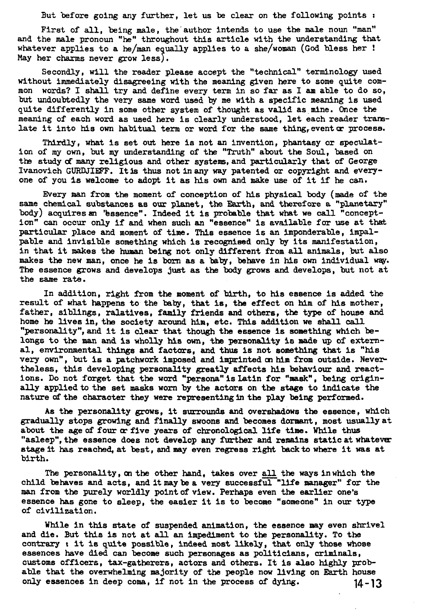But before going any further, let us be clear on the following points **<sup>r</sup>**

First of all, being male, the author intends to use the male noun "man" and the male pronoun "he" throughout this article with the understanding that whatever applies to a he/man equally applies to a she/woman (God bless her  $!$ May her charms never grow less).

Secondly, will the reader please accept the "technical" terminology used without immediately disagreeing with the meaning glven here to some quite com-mon words? I shall try and define every term in so far as I **am** able to do so, but undoubtedly the very same word used by me with a specific meaning is used quite differently in some other system of thought as valid as mine. Once the meaning of each word as used here is clearly understood, let each reader tramlate it into his own habitual term or word for the same thing, event or process.

Thirdly, what is set out here is not an invention, phantasy or speculstion of my own, but my understanding of the "Truth" about the Soul, based on the study of many religious and other systems, and particularly that of George Ivanovich GURDJIEFF. It is thus not in any way patented or copyright and everyone of you is welcome to adopt it as his own and make use of it if he can.

Every man from the moment **af** conception of his physical body (made of the same chemical substances as our planet, the Earth, and therefore a "planetary" body) acquires an 'bssence". Indeed it is probable that what we call "conception" can occur only if and when such an "essence" is avallable for use at that particular place and moment of time. This esaence is an Imponderable, impalpable and invisible something which is recogniaed only by its manifestation, in that it makes the human being not only different fcom **all** animals, but also makes the new man, once he is born as a baby, behave in his own individual way. The essence grows and develops just as the body grows and develops, but not at the same rate.

In addition, right from the moment of blrth, to his essence is added the result of what happens to the baby, that is, the effect on him of his mother, father, siblings, ralatives, family friends and others, the type of house and home he lives in, the society around him, etc. This addition we shall **caU.**  "personality", and it is clear that though the essence is something which belongs to the man and is wholly his own, the personality is made up of external, environmental things and factors, and thus is not something that is "his very own", but is a patchwork imposed and imprinted on him from outside. Nevertheless, this developing personality greatly affects his behaviour and reactions. Do not forget that the word "persona" is Latin for "mask", being originally applied to the set masks worn by the actors on the stage to indicate the nature of the character they were representing in the play being performed.

As the personality grows, it surrounds and overshadows the essence, which gradually stops grovlng and finally swoons and becomes dormant, most usuallyat about the age of four or five years of chronological life time. While thus "asleep", the essence does not develop any further and remains static at whatever stage it has reached, at best, and may even regress right **backto** where it was at birth.

The personality, on the other hand, takes over all the ways inwhich the child behaves and acts, and it may **be** a very successful "Ufe manager" for the man from the purely worldly pointof view. Perhaps even the earlier one's essence has gone to sleep, the easier it is to become "someone" in our type of civilization.

While in this state of suspended animation, the essence may even shrivel and die. But this is not at **all** an impediment to the personality. To the contrary *t* it is quite possible, indeed most likely, that only those whose essences have died can become such personages as politicians, criminals, customs officers, tax-gatherers, actors and others. It is also highly probable that the ovenrhelming majority of the people now living on Earth house only essences in deep coma, if not in the process **of** dying. **14-13**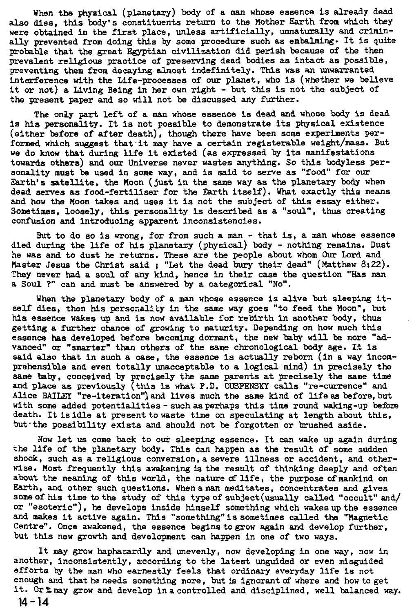When the physical (planetary) **body** of a man whose essence is already dead also dies, this body's constituents return to the Mother Earth from which they were obtained in the first place, unless artificially, unnaturally and criminally prevented from doing this by some procedure such as embalming. It is **quite**  probable that the great Egyptian civilization did perish because of the then prevalent religious practice of preserving dead bodies as intact as possible, preventing them from decaying almost indefinitely. This was an muaxranted interference with the Life-processes of our planet, who is (whether we believe it or not) a Living Being in her own right - but this is not the subject of the present paper and so will not be discussed any further.

The only part left of a man whose essence is dead and whose body is dead is his personality. It is not possible to demonstrate its physical existence (either before of after death), though there have been some experiments performed which suggest that it may have a certain registerable weight/mass. But we do know that during life it existed (as expressed by its manifestations towards others) and our Universe never wastes anything. So this bodyless personality must be used in some way, and is said to serve as "food" for our Earth's satellite, the Moon (just in the same way as the planetary body when dead serves as food-fertiliser for the Earth itself). What exactly this means and how the Moon takes and uses it is not the subject of this essay either. Sometimes, loosely, this personality is described as a "soul", thus creating confusion and introducing apparent inconsistencies.

But to do so is wrong, for from such a man - that is, a man whose essence died during the life of his planetary (physical) body - nothing remains. Dust he was and to dust he returns. These are the people about whom Our **Lord** and Master Jesus the Christ said; "Let the dead bury their dead" (Matthew 8:22). They never had a soul of any kind, hence in their case the question "Has man a Soul ?" **can** and must be answered by a categorical "No".

When the planetary body of a man whose essence is alive but sleeping itself dies, then his persozality in the same way goes "to feed the Moon", but his essence wakes up and is now available for rebirth in another body, thus getting a further chance of growing to maturity. Depending on how much this essence has developed before becoming dormant, the new baby will be more **"ad**vanced" or "smarter" than others of the same chronological body **age.** It is said also that in such a case, the essence is actually reborn (in a way incomprehensible and even totally unacceptable to a logical mind) in precisely the same baby, conceived by precisely the same parents at precisely the same time and place as previously (this is what P.D. OUSFENSXY calls "re-currence" and Alice BAILEY "re-iteration") and lives much the same kind of life as before, but with some added potentialities-suchasperhaps this time round waking-up before death. It is idle at present to waste time on speculating at length about this, but-the possibility exists and should not be forgotten or brushed aside.

Now let us come back to our sleeping essence. It can wake up again during the life of the planetary body. This can happen as the result of some sudden shock. such as a religious conversion,asevere illness or accident, and otherwise. Most frequently this awakening is the result of thinking deeply and often about the meaning of this world, the nature of life, the purpose of mankind on Earth, and other such questions. Whenaman meditates, concentrates and gives some of his time to the study of this type of subject (usually called "occult" and/ or "esoteric"), he develops inside himself something which wakes up the essence and makes it active again. This "something"issometimes called the "Magnetic Centre". Once awakened, the essence begins togrow again and develop further, but this new growth and development can happen in one of two ways.

It may grow haphazardly and unevenly, now developing in one way, now in another, inconsistently, according to the latest unguided or even misguided efforts by the man who earnestly feels that ordinary everyday life is not enough and that he needs something more, but is ignorant of where and how to get it. Or thay grow and develop in a controlled and disciplined, well balanced way.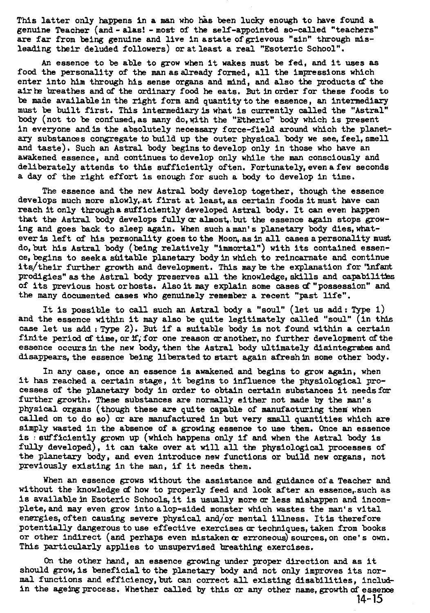This latter only happens in a man who has been lucky enough to have found a genuine Teacher (and - alas! -most of the self-appointed so-called "teachers" **are** far from being genuine and live in astate ofgrievous "sin" through misleading their deluded followers) or at least a real "Esoteric School".

An essenoe to be able to grow when it wakes must be fed, and it uses **as**  food the personality of the manasalready formed, all the impressions which enter into him through his sense organs and mind, and also the products of the air he breathes and of the ordinary food he eats. But in order for these foods to be made available in the right form and quantity to the essence, an intermediary must be built first. This intennediaxyis what is currently called the "Astral" body (not to be confused, as many do, with the "Etheric" body which is present in everyone and is the absolutely necessary force-field around which the planet**ary** substances congregate to build up the outer physical body we see, feel, smell and taste). Such an Astral body begins to develop only in those who have an awakened essence. and continues to develop only while the man consciously and deliberately attends to this sufficiently often. Fortunately, even a few seconds a day of the right effort is enough for such a body to develop in time.

The essence and the new Astral body develop together, though the essence develops much more slowly,.at first at least,as certain foods it must have **can**  reach it only througha sufficiently developed Astral body. It **can** even happen that the Astral body develops fullymalmost, but the essence **again** stops growing and goes back to sleep again. When such a man's planetary body dies, whatever **is** left **of** his personality goes to the Moon, as in all cases apersonality must do, but his Astral body (being relatively "immortal") with its contained essence, begins to seeka s6itable planetary body in which to reincarnate **and** continue itsltheir further growth and development. This may **ke** the explanation for 'infant prodigies" as the Astral body preserves all the knowledge, skills and capabilities of its previous hostorhosts. Alsoit may explain some cases d"possession" and the many documented cases who genuinely remember a recent "past Ilfe".

It is possible to call such **an** Astral body a "soul" (let us add: Type 1) and the essence within it may also be quite legitimately called "soul" (in this case let us **add** : Type 2). But if a suitable body is not found within a certain finite period of time, or if; for one reason or another, no further development of the essence occurs in the new body, then the Astral body ultimately disintegrates and disappears, the essence being liberatedto start again afreshin some other body.

In any case, once an essence is awakened and begins to grow again, when it has reached a certain stage, it begins to influence the physiological processes of the planetary body in order to obtain certain substances it needs for further growth. These substances axe normally either not made by the **man's**  physical organs (though these **are** quite capable of manufacturing them when called on to do SO) **or** are manufactured in but very small quantities which are simply wasted in the absence of a growing essence to use them. Once an essence is : ssficiently grown up (which happens only if and when the Astral **body** is fully developed), it can take over at will all the physiological processes of the planetary body, and even introduce new functions or build new organs, not previously existing in the man, if it needs them.

When an essence grows without the assistance and guidance of a Teacher and without the knowledge of how to properly feed and look after an essence, such as is available in Esoteric Schools, it is usually more or less mishappen and incomplete,and may even grow intoalop-sided monster which wastes the man's vital energies, often causing severe physical and/or mental illness. It is therefore potentially dangerous to use effective exercises or techniques, taken from books or other indirect (and perhaps even mistaken **cr** erroneous) sources, on one' s own. This particularly applies to unsupervised breathing exercises.

On the other hand, an essence growing under proper direction and as it should grow, is beneficial to the planetary body and not only improves its normal functions and efficiency,but **can** correct all existing disabilities, includin the ageing process. Whether called by this or any other name. growth of essence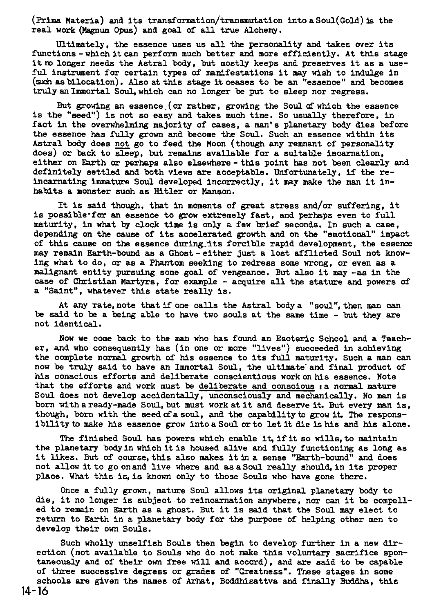(Prima Materia) and its transf ormation/transmutation into a Soul(Go1d) **5s** the real work (Magnum Opus) and goal of all true Alchemy.

Ultimately, the essence uses us all the personality and takes wer its functions-which itcan perform much better **and** more efficiently. At this stage it m longer needs the Astral body, but mostly keeps and preserves it as a useful instrument for certain types of manifestations it may wish to indulge in (such as bilocation). Also at this stage it ceases to be an "essence" and becomes truly an Immortal Soul, which can no longer be put to sleep nor regress.

But growing an essence. (or rather, growing the Soul **af** which the essence is the "seed") is not so easy and takes much time. So usually therefore, in fact in the overwhelming majority of cases, a man's planetary body dies before the essence has fully grown and become the Soul. Such an essence within its Astral **body** does not go to feed the Moon (though any remnant of personality does) or back to sleep, but remains available for a suitable incarnation, either on Earth **or** perhaps also elsewhere-this point has not been cleaxly **and**  definitely settled and both views **are** acceptable. Unfortunately, if the reincarnating immature Soul developed incorrectly, it may make the man it inhabits a monster such as Hitler or Manson.

It is said though, that in moments of great stress and/or suffering, it is possible-for an essence to grow extremely fast, and perhaps even to full maturity, in what by clock time is only a few brief seconds. In such a case, depending on the cause of its accelerated grouth and on the "emotional" impact of this cause on the essence during its forcible rapid development, the essence may remain Earth-bound as a Ghost-either just a lost afflicted Soul not knowing what to do, or as a Phantom seeking to redress some wrong, or even as a malignant entity pursuing some goal of vengeance. But also it may -as in the case of Christian Martyrs, for example - acquire all the stature and powers of a "Saint", whatever this state really is.

At **any** rate, note that if one calls the Astral body a "soul", then man can be said to be a being able to have two souls at the same time - but they are not identical.

Now we come **back** to the man who has found an Esoteric School and a Teacher, and who consequently has (in one **or** more "lives") succeeded in achieving the complete normal growth of his essence to its full maturity. Such a man can now be truly said to have an Immortal Soul, the ultimate and final product of his conscious efforts and deliberate conscientious work on his essence. Note that the efforts and work must be deliberate and conscious :a normal mature Soul does not develop accidentally, unconsciously and mechanically. No man is born withaready-made Soul,but must workatit and deserve it. But every man Is, though, born with the seed of a soul, and the capability to grow it. The responsibilityto make his essence grow intoasoul orto letit die ishis and his alone.

The finished Soul has powers which enable it, if it so wills, to maintain the planetary **bodyin** whichitis housed alive **and** fully functioning as long as it likes. But of course, this also makes it in a sense "Earth-bound" and does not allow it to go onand live where and asaSoul really should,in its proper place. What this is is known only to those Souls who have gone there.

Once a fully grown, mature Soul allows its original planetary body to die, it no longer is subject to reincarnation anywhere, nor can it be compelled to remain on Garth as a ghost. But it is said that the Soul may elect to return to Earth in a planetary **body** for the purpose of helping other men to develop their own Souls.

Such wholly unselfish Souls then **begin** to develop further in a new direction (not available to Souls who do not make this voluntary sacrifice spontaneously and of their own free will and accord), and are said to be capable of three successive degress or grades of "Greatness". These stages in some schools **are** given the names of Arhat, Boddhisattva and finally Buddha, this